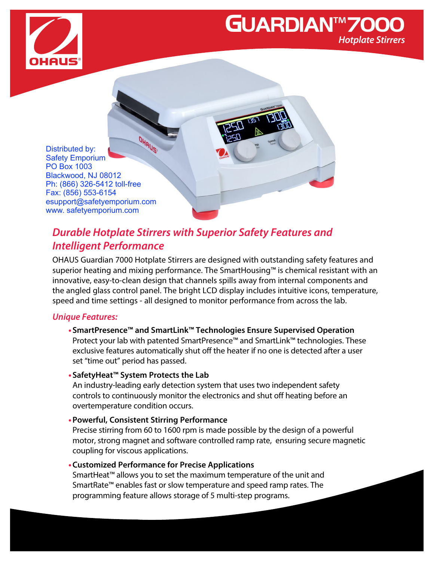

## GUARDIAN™7000 **Hotplate Stirrers**

OHAUS Distributed by: Safety Emporium PO Box 1003 Blackwood, NJ 08012 Ph: (866) 326-5412 toll-free Fax: (856) 553-6154 esupport@safetyemporium.com www. safetyemporium.com

### **Durable Hotplate Stirrers with Superior Safety Features and Intelligent Performance**

OHAUS Guardian 7000 Hotplate Stirrers are designed with outstanding safety features and superior heating and mixing performance. The SmartHousing™ is chemical resistant with an innovative, easy-to-clean design that channels spills away from internal components and the angled glass control panel. The bright LCD display includes intuitive icons, temperature, speed and time settings - all designed to monitor performance from across the lab.

#### **Unique Features:**

- **• SmartPresence™ and SmartLink™ Technologies Ensure Supervised Operation** Protect your lab with patented SmartPresence™ and SmartLink™ technologies. These exclusive features automatically shut off the heater if no one is detected after a user set "time out" period has passed.
- **• SafetyHeat™ System Protects the Lab**

An industry-leading early detection system that uses two independent safety controls to continuously monitor the electronics and shut off heating before an overtemperature condition occurs.

**•Powerful, Consistent Stirring Performance**

Precise stirring from 60 to 1600 rpm is made possible by the design of a powerful motor, strong magnet and software controlled ramp rate, ensuring secure magnetic coupling for viscous applications.

**•Customized Performance for Precise Applications**

SmartHeat™ allows you to set the maximum temperature of the unit and SmartRate™ enables fast or slow temperature and speed ramp rates. The programming feature allows storage of 5 multi-step programs.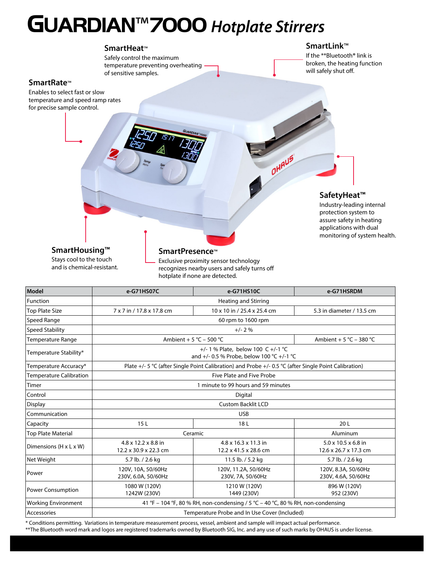## GUARDIAN™7000 **Hotplate Stirrers**

#### **SmartHeat**™

Safely control the maximum temperature preventing overheating of sensitive samples.

#### **SmartLink**™

If the \*\*Bluetooth**®** link is broken, the heating function will safely shut off.

#### **SmartRate**™

Enables to select fast or slow temperature and speed ramp rates for precise sample control.

#### **SafetyHeat™**

OHAUS

Industry-leading internal protection system to assure safety in heating applications with dual monitoring of system health.

### **SmartHousing™**

Stays cool to the touch and is chemical-resistant.

#### **SmartPresence**™

Exclusive proximity sensor technology recognizes nearby users and safely turns of hotplate if none are detected.

| Model                                | e-G71HS07C                                                                                            | e-G71HS10C                                    | e-G71HSRDM                                   |  |  |
|--------------------------------------|-------------------------------------------------------------------------------------------------------|-----------------------------------------------|----------------------------------------------|--|--|
| Function                             | <b>Heating and Stirring</b>                                                                           |                                               |                                              |  |  |
| <b>Top Plate Size</b>                | 7 x 7 in / 17.8 x 17.8 cm                                                                             | 10 x 10 in / 25.4 x 25.4 cm                   | 5.3 in diameter / 13.5 cm                    |  |  |
| Speed Range                          | 60 rpm to 1600 rpm                                                                                    |                                               |                                              |  |  |
| <b>Speed Stability</b>               | $+/- 2%$                                                                                              |                                               |                                              |  |  |
| Temperature Range                    | Ambient + 5 °C - 500 °C<br>Ambient + 5 °C – 380 °C                                                    |                                               |                                              |  |  |
| Temperature Stability*               | +/- 1 % Plate, below 100 C +/-1 °C<br>and +/- 0.5 % Probe, below 100 °C +/-1 °C                       |                                               |                                              |  |  |
| Temperature Accuracy*                | Plate +/- 5 °C (after Single Point Calibration) and Probe +/- 0.5 °C (after Single Point Calibration) |                                               |                                              |  |  |
| <b>Temperature Calibration</b>       | Five Plate and Five Probe                                                                             |                                               |                                              |  |  |
| Timer                                | 1 minute to 99 hours and 59 minutes                                                                   |                                               |                                              |  |  |
| Control                              | Digital                                                                                               |                                               |                                              |  |  |
| <b>Display</b>                       | <b>Custom Backlit LCD</b>                                                                             |                                               |                                              |  |  |
| Communication                        | <b>USB</b>                                                                                            |                                               |                                              |  |  |
| Capacity                             | 15L                                                                                                   | 18L                                           | 20L                                          |  |  |
| <b>Top Plate Material</b>            | Ceramic                                                                                               |                                               | Aluminum                                     |  |  |
| Dimensions ( $H \times L \times W$ ) | $4.8 \times 12.2 \times 8.8$ in<br>12.2 x 30.9 x 22.3 cm                                              | 4.8 x 16.3 x 11.3 in<br>12.2 x 41.5 x 28.6 cm | 5.0 x 10.5 x 6.8 in<br>12.6 x 26.7 x 17.3 cm |  |  |
| Net Weight                           | 5.7 lb. / 2.6 kg                                                                                      | 11.5 lb. / 5.2 kg                             | 5.7 lb. / 2.6 kg                             |  |  |
| Power                                | 120V, 10A, 50/60Hz<br>230V, 6.0A, 50/60Hz                                                             | 120V, 11.2A, 50/60Hz<br>230V, 7A, 50/60Hz     | 120V, 8.3A, 50/60Hz<br>230V, 4.6A, 50/60Hz   |  |  |
| <b>Power Consumption</b>             | 1080 W (120V)<br>1242W (230V)                                                                         | 1210 W (120V)<br>1449 (230V)                  | 896 W (120V)<br>952 (230V)                   |  |  |
| <b>Working Environment</b>           | 41 °F - 104 °F, 80 % RH, non-condensing / 5 °C - 40 °C, 80 % RH, non-condensing                       |                                               |                                              |  |  |
| Accessories                          | Temperature Probe and In Use Cover (Included)                                                         |                                               |                                              |  |  |

\* Conditions permitting. Variations in temperature measurement process, vessel, ambient and sample will impact actual performance.

\*\*The Bluetooth word mark and logos are registered trademarks owned by Bluetooth SIG, Inc. and any use of such marks by OHAUS is under license.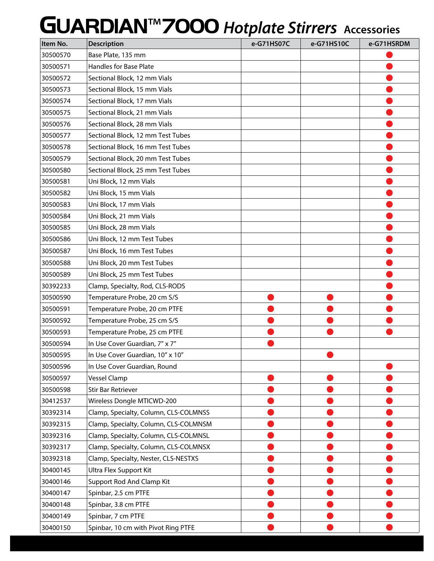# GUARDIAN™7000 **Hotplate Stirrers Accessories**

| Item No. | <b>Description</b>                    | e-G71HS07C | e-G71HS10C | e-G71HSRDM |
|----------|---------------------------------------|------------|------------|------------|
| 30500570 | Base Plate, 135 mm                    |            |            |            |
| 30500571 | Handles for Base Plate                |            |            |            |
| 30500572 | Sectional Block, 12 mm Vials          |            |            |            |
| 30500573 | Sectional Block, 15 mm Vials          |            |            |            |
| 30500574 | Sectional Block, 17 mm Vials          |            |            |            |
| 30500575 | Sectional Block, 21 mm Vials          |            |            |            |
| 30500576 | Sectional Block, 28 mm Vials          |            |            |            |
| 30500577 | Sectional Block, 12 mm Test Tubes     |            |            |            |
| 30500578 | Sectional Block, 16 mm Test Tubes     |            |            |            |
| 30500579 | Sectional Block, 20 mm Test Tubes     |            |            |            |
| 30500580 | Sectional Block, 25 mm Test Tubes     |            |            |            |
| 30500581 | Uni Block, 12 mm Vials                |            |            |            |
| 30500582 | Uni Block, 15 mm Vials                |            |            |            |
| 30500583 | Uni Block, 17 mm Vials                |            |            |            |
| 30500584 | Uni Block, 21 mm Vials                |            |            |            |
| 30500585 | Uni Block, 28 mm Vials                |            |            |            |
| 30500586 | Uni Block, 12 mm Test Tubes           |            |            |            |
| 30500587 | Uni Block, 16 mm Test Tubes           |            |            |            |
| 30500588 | Uni Block, 20 mm Test Tubes           |            |            |            |
| 30500589 | Uni Block, 25 mm Test Tubes           |            |            |            |
| 30392233 | Clamp, Specialty, Rod, CLS-RODS       |            |            |            |
| 30500590 | Temperature Probe, 20 cm S/S          |            |            |            |
| 30500591 | Temperature Probe, 20 cm PTFE         |            |            |            |
| 30500592 | Temperature Probe, 25 cm S/S          |            |            |            |
| 30500593 | Temperature Probe, 25 cm PTFE         |            |            |            |
| 30500594 | In Use Cover Guardian, 7" x 7"        |            |            |            |
| 30500595 | In Use Cover Guardian, 10" x 10"      |            |            |            |
| 30500596 | In Use Cover Guardian, Round          |            |            |            |
| 30500597 | Vessel Clamp                          |            |            |            |
| 30500598 | <b>Stir Bar Retriever</b>             |            |            |            |
| 30412537 | Wireless Dongle MTICWD-200            |            |            |            |
| 30392314 | Clamp, Specialty, Column, CLS-COLMNSS |            |            |            |
| 30392315 | Clamp, Specialty, Column, CLS-COLMNSM |            |            |            |
| 30392316 | Clamp, Specialty, Column, CLS-COLMNSL |            |            |            |
| 30392317 | Clamp, Specialty, Column, CLS-COLMNSX |            |            |            |
| 30392318 | Clamp, Specialty, Nester, CLS-NESTXS  |            |            |            |
| 30400145 | Ultra Flex Support Kit                |            |            |            |
| 30400146 | Support Rod And Clamp Kit             |            |            |            |
| 30400147 | Spinbar, 2.5 cm PTFE                  |            |            |            |
| 30400148 | Spinbar, 3.8 cm PTFE                  |            |            |            |
| 30400149 | Spinbar, 7 cm PTFE                    |            |            |            |
| 30400150 | Spinbar, 10 cm with Pivot Ring PTFE   |            |            |            |